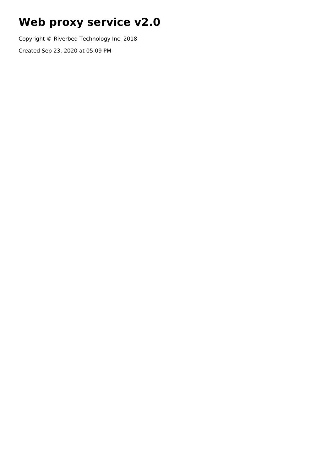# **Web proxy service v2.0**

Copyright © Riverbed Technology Inc. 2018

Created Sep 23, 2020 at 05:09 PM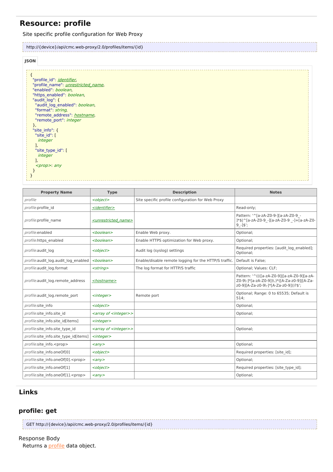# **Resource: profile**

# Site specific profile configuration for Web Proxy

| http://{device}/api/cmc.web-proxy/2.0/profiles/items/{id} |  |
|-----------------------------------------------------------|--|
|                                                           |  |

### **JSON**

| "profile_id": identifier,                  |  |
|--------------------------------------------|--|
| "profile name": <i>unrestricted name</i> , |  |
| "enabled": boolean,                        |  |
| "https enabled": boolean,                  |  |
| "audit log": {                             |  |
| "audit_log_enabled": boolean,              |  |
|                                            |  |
| "format": string,                          |  |
| "remote_address": hostname,                |  |
| "remote port": integer                     |  |
| },                                         |  |
| "site info": $\{$                          |  |
| "site id": [                               |  |
| <i>integer</i>                             |  |
|                                            |  |
| "site type id": [                          |  |
|                                            |  |
| integer                                    |  |
|                                            |  |
| $<$ prop>: any                             |  |
|                                            |  |
|                                            |  |
|                                            |  |

| <b>Property Name</b>                      | <b>Type</b>                           | <b>Description</b>                                    | <b>Notes</b>                                                                                                                        |
|-------------------------------------------|---------------------------------------|-------------------------------------------------------|-------------------------------------------------------------------------------------------------------------------------------------|
| profile                                   | <object></object>                     | Site specific profile configuration for Web Proxy     |                                                                                                                                     |
| profile.profile id                        | <identifier></identifier>             |                                                       | Read-only;                                                                                                                          |
| profile.profile name                      | <unrestricted name=""></unrestricted> |                                                       | Pattern: '^[a-zA-Z0-9-][a-zA-Z0-9 -<br>]*\$ ^[a-zA-Z0-9 -][a-zA-Z0-9 -]+[a-zA-Z0-<br>$9 - 1$ \$';                                   |
| profile.enabled                           | <boolean></boolean>                   | Enable Web proxy.                                     | Optional;                                                                                                                           |
| profile.https enabled                     | <boolean></boolean>                   | Enable HTTPS optimization for Web proxy.              | Optional;                                                                                                                           |
| profile.audit log                         | <object></object>                     | Audit log (syslog) settings                           | Required properties: [audit log enabled];<br>Optional;                                                                              |
| profile.audit log.audit log enabled       | <boolean></boolean>                   | Enable/disable remote logging for the HTTP/S traffic. | Default is False;                                                                                                                   |
| profile.audit_log.format                  | $<$ string $>$                        | The log format for HTTP/S traffic                     | Optional; Values: CLF;                                                                                                              |
| profile.audit log.remote address          | <hostname></hostname>                 |                                                       | Pattern: '^((([a-zA-Z0-9]][a-zA-Z0-9][a-zA-<br>Z0-9\-1*[a-zA-Z0-9])\.)*([A-Za-z0-9] [A-Za-<br>z0-9][A-Za-z0-9\-]*[A-Za-z0-9]))?\$'; |
| profile.audit log.remote port             | <integer></integer>                   | Remote port                                           | Optional; Range: 0 to 65535; Default is<br>514:                                                                                     |
| profile.site info                         | <object></object>                     |                                                       | Optional;                                                                                                                           |
| profile.site info.site id                 | <array <integer="" of="">&gt;</array> |                                                       | Optional;                                                                                                                           |
| profile.site info.site id[items]          | $<$ integer $>$                       |                                                       |                                                                                                                                     |
| profile.site info.site type id            | <array <integer="" of="">&gt;</array> |                                                       | Optional;                                                                                                                           |
| profile.site info.site type id[items]     | $<$ integer $>$                       |                                                       |                                                                                                                                     |
| profile.site info. <prop></prop>          | $\langle \rangle$                     |                                                       | Optional;                                                                                                                           |
| profile.site info.oneOf[0]                | <object></object>                     |                                                       | Required properties: [site id];                                                                                                     |
| profile.site info.oneOf[0]. <prop></prop> | $\langle \rangle$                     |                                                       | Optional;                                                                                                                           |
| profile.site info.oneOf[1]                | <object></object>                     |                                                       | Required properties: [site type id];                                                                                                |
| profile.site info.oneOf[1]. <prop></prop> | $\langle \rangle$                     |                                                       | Optional;                                                                                                                           |

# **Links**

# **profile: get**

| GET http://{device}/api/cmc.web-proxy/2.0/profiles/items/{id} |  |
|---------------------------------------------------------------|--|
|                                                               |  |

### Response Body

Returns a *[profile](http://support.riverbed.com/apis/cmc.web-proxy/2.0#/resources/profile)* data object.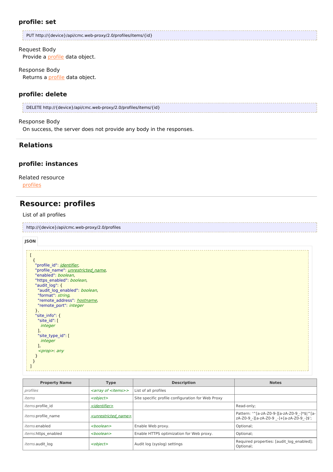### **profile: set**

| PUT http://{device}/api/cmc.web-proxy/2.0/profiles/items/{id} |  |
|---------------------------------------------------------------|--|
|                                                               |  |

#### Request Body

Provide a *[profile](http://support.riverbed.com/apis/cmc.web-proxy/2.0#/resources/profile)* data object.

#### Response Body

Returns a [profile](http://support.riverbed.com/apis/cmc.web-proxy/2.0#/resources/profile) data object.

#### **profile: delete**

DELETE http://{device}/api/cmc.web-proxy/2.0/profiles/items/{id}

#### Response Body

On success, the server does not provide any body in the responses.

# **Relations**

### **profile: instances**

#### Related resource

[profiles](http://support.riverbed.com/apis/cmc.web-proxy/2.0#/resources/profiles)

# **Resource: profiles**

#### List of all profiles

| http://{device}/api/cmc.web-proxy/2.0/profiles |
|------------------------------------------------|
|                                                |

#### **JSON**

| "profile id": <i>identifier</i> ,          |  |
|--------------------------------------------|--|
| "profile_name": <i>unrestricted_name</i> , |  |
| "enabled": boolean,                        |  |
| "https enabled": boolean,                  |  |
| "audit log": {                             |  |
| "audit_log_enabled": boolean,              |  |
| "format": string,                          |  |
| "remote address": hostname,                |  |
| "remote port": integer                     |  |
| ŗ,                                         |  |
| "site info": {                             |  |
| "site id": [                               |  |
| <i>integer</i>                             |  |
|                                            |  |
| "site type id": [                          |  |
| integer                                    |  |
| ı,                                         |  |
| $<$ prop>: any                             |  |
|                                            |  |
|                                            |  |
|                                            |  |
|                                            |  |

| <b>Property Name</b>       | <b>Type</b>                           | <b>Description</b>                                | <b>Notes</b>                                                                              |
|----------------------------|---------------------------------------|---------------------------------------------------|-------------------------------------------------------------------------------------------|
| profiles                   | <array <items="" of="">&gt;</array>   | List of all profiles                              |                                                                                           |
| items                      | <object></object>                     | Site specific profile configuration for Web Proxy |                                                                                           |
| <i>items.profile id</i>    | <identifier></identifier>             |                                                   | Read-only;                                                                                |
| <i>items.profile</i> name  | <unrestricted name=""></unrestricted> |                                                   | Pattern: '^[a-zA-Z0-9-][a-zA-Z0-9 -]*\$ ^[a-<br>zA-Z0-9 -][a-zA-Z0-9 -]+[a-zA-Z0-9 -]\$'; |
| <i>items</i> .enabled      | <boolean></boolean>                   | Enable Web proxy.                                 | Optional;                                                                                 |
| <i>items.https</i> enabled | <boolean></boolean>                   | Enable HTTPS optimization for Web proxy.          | Optional;                                                                                 |
| <i>items.audit</i> log     | <object></object>                     | Audit log (syslog) settings                       | Required properties: [audit log enabled];<br>Optional:                                    |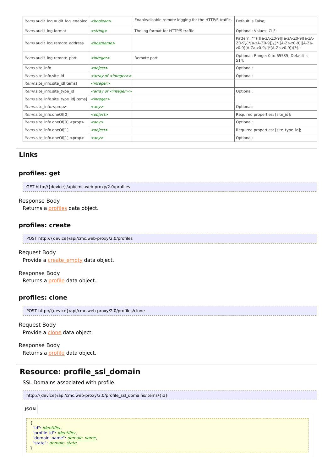| <i>items.audit</i> log.audit log enabled    | <boolean></boolean>                   | Enable/disable remote logging for the HTTP/S traffic. | Default is False;                                                                                                                   |
|---------------------------------------------|---------------------------------------|-------------------------------------------------------|-------------------------------------------------------------------------------------------------------------------------------------|
| items.audit log.format                      | $<$ string $>$                        | The log format for HTTP/S traffic                     | Optional; Values: CLF;                                                                                                              |
| <i>items.audit</i> log.remote address       | <hostname></hostname>                 |                                                       | Pattern: '^((([a-zA-Z0-9]][a-zA-Z0-9][a-zA-<br>Z0-9\-]*[a-zA-Z0-9])\.)*([A-Za-z0-9] [A-Za-<br>z0-9][A-Za-z0-9\-1*[A-Za-z0-9]))?\$'; |
| items.audit log.remote port                 | $<$ integer $>$                       | Remote port                                           | Optional; Range: 0 to 65535; Default is<br>514;                                                                                     |
| <i>items.</i> site info                     | <object></object>                     |                                                       | Optional;                                                                                                                           |
| <i>items.</i> site info.site id             | <array <integer="" of="">&gt;</array> |                                                       | Optional;                                                                                                                           |
| items.site info.site id[items]              | $<$ integer $>$                       |                                                       |                                                                                                                                     |
| items.site info.site type id                | <array <integer="" of="">&gt;</array> |                                                       | Optional;                                                                                                                           |
| <i>items.</i> site info.site type id[items] | $<$ integer $>$                       |                                                       |                                                                                                                                     |
| items.site info. <prop></prop>              | $\langle \text{any} \rangle$          |                                                       | Optional;                                                                                                                           |
| items.site info.oneOf[0]                    | <object></object>                     |                                                       | Required properties: [site id];                                                                                                     |
| items.site info.oneOf[0]. <prop></prop>     | $\langle \text{any} \rangle$          |                                                       | Optional;                                                                                                                           |
| items.site info.oneOf[1]                    | <object></object>                     |                                                       | Required properties: [site_type_id];                                                                                                |
| items.site info.oneOf[1]. <prop></prop>     | $\langle \textit{any} \rangle$        |                                                       | Optional;                                                                                                                           |

#### **profiles: get**

GET http://{device}/api/cmc.web-proxy/2.0/profiles

#### Response Body

Returns a *[profiles](http://support.riverbed.com/apis/cmc.web-proxy/2.0#/resources/profiles)* data object.

## **profiles: create**

| POST http://{device}/api/cmc.web-proxy/2.0/profiles |  |
|-----------------------------------------------------|--|
|                                                     |  |

### Request Body

Provide a **[create\\_empty](http://support.riverbed.com/apis/cmc.web-proxy/2.0#/types/create_empty)** data object.

Response Body Returns a [profile](http://support.riverbed.com/apis/cmc.web-proxy/2.0#/resources/profile) data object.

## **profiles: clone**

| POST http://{device}/api/cmc.web-proxy/2.0/profiles/clone |
|-----------------------------------------------------------|
|                                                           |

Request Body Provide a [clone](http://support.riverbed.com/apis/cmc.web-proxy/2.0#/types/clone) data object.

Response Body Returns a [profile](http://support.riverbed.com/apis/cmc.web-proxy/2.0#/resources/profile) data object.

# **Resource: profile\_ssl\_domain**

# SSL Domains associated with profile. http://{device}/api/cmc.web-proxy/2.0/profile\_ssl\_domains/items/{id}

#### **JSON**

{ "id": <u>*[identifier](http://support.riverbed.com/apis/cmc.web-proxy/2.0#/types/identifier),*</u> "profile\_id": <u>*[identifier](http://support.riverbed.com/apis/cmc.web-proxy/2.0#/types/identifier),*</u> "[domain](http://support.riverbed.com/apis/cmc.web-proxy/2.0#/types/domain_name)\_[name](http://support.riverbed.com/apis/cmc.web-proxy/2.0#/types/domain_name)": <u>*domain\_name,*</u> "[state](http://support.riverbed.com/apis/cmc.web-proxy/2.0#/types/domain_state)": *[domain](http://support.riverbed.com/apis/cmc.web-proxy/2.0#/types/domain_state)\_state* }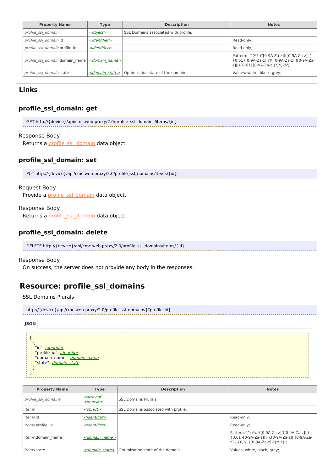| <b>Property Name</b>           | <b>Type</b>                | <b>Description</b>                   | <b>Notes</b>                                                                                                                        |
|--------------------------------|----------------------------|--------------------------------------|-------------------------------------------------------------------------------------------------------------------------------------|
| profile ssl domain             | <object></object>          | SSL Domains associated with profile. |                                                                                                                                     |
| profile ssl domain.id          | <identifier></identifier>  |                                      | Read-only;                                                                                                                          |
| profile ssl domain.profile id  | <identifier></identifier>  |                                      | Read-only;                                                                                                                          |
| profile ssl domain.domain name | <domain name=""></domain>  |                                      | Pattern: '^(\*\.)?[0-9A-Za-z](([0-9A-Za-z]]-)<br>{0,61}[0-9A-Za-z])?(\.[0-9A-Za-z](([0-9A-Za-<br> z] -){0,61}[0-9A-Za-z])?)*\.?\$'; |
| profile ssl domain.state       | <domain state=""></domain> | Optimization state of the domain     | Values: white, black, grey;                                                                                                         |

# **profile\_ssl\_domain: get**

| GET http://{device}/api/cmc.web-proxy/2.0/profile_ssl_domains/items/{id} |
|--------------------------------------------------------------------------|
|                                                                          |

#### Response Body

Returns a [profile\\_ssl\\_domain](http://support.riverbed.com/apis/cmc.web-proxy/2.0#/resources/profile_ssl_domain) data object.

# **profile\_ssl\_domain: set**

| PUT http://{device}/api/cmc.web-proxy/2.0/profile ssl domains/items/{id} |  |
|--------------------------------------------------------------------------|--|
|                                                                          |  |

#### Request Body

Provide a [profile\\_ssl\\_domain](http://support.riverbed.com/apis/cmc.web-proxy/2.0#/resources/profile_ssl_domain) data object.

#### Response Body

Returns a *[profile\\_ssl\\_domain](http://support.riverbed.com/apis/cmc.web-proxy/2.0#/resources/profile_ssl_domain)* data object.

### **profile\_ssl\_domain: delete**

| DELETE http://{device}/api/cmc.web-proxy/2.0/profile_ssl_domains/items/{id} |  |
|-----------------------------------------------------------------------------|--|
|                                                                             |  |

#### Response Body

On success, the server does not provide any body in the responses.

# **Resource: profile\_ssl\_domains**

SSL Domains Plurals

| http://{device}/api/cmc.web-proxy/2.0/profile ssl domains{?profile id} |
|------------------------------------------------------------------------|
|                                                                        |

| <b>JSON</b>                                                                     |  |
|---------------------------------------------------------------------------------|--|
|                                                                                 |  |
|                                                                                 |  |
| "id": <i>identifier</i> ,                                                       |  |
| "profile_id": <u><i>identifier</i></u> ,<br>"domain_name": <i>domain_name</i> , |  |
| "state": <i>domain state</i>                                                    |  |
|                                                                                 |  |
|                                                                                 |  |

| <b>Property Name</b>                                                                       | <b>Type</b>                | <b>Description</b>                   | <b>Notes</b>                                                                                                                       |
|--------------------------------------------------------------------------------------------|----------------------------|--------------------------------------|------------------------------------------------------------------------------------------------------------------------------------|
| <i><b><array b="" of<=""></array></b></i><br>profile ssl domains<br>< <i>items&gt;&gt;</i> |                            | <b>SSL Domains Plurals</b>           |                                                                                                                                    |
| items                                                                                      | <object></object>          | SSL Domains associated with profile. |                                                                                                                                    |
| items.id                                                                                   | <identifier></identifier>  |                                      | Read-only;                                                                                                                         |
| <i>items.profile id</i>                                                                    | <identifier></identifier>  |                                      | Read-only;                                                                                                                         |
| items.domain name                                                                          | $<$ domain name $>$        |                                      | Pattern: '^(\*\.)?[0-9A-Za-z](([0-9A-Za-z]]-)<br>{0,61}[0-9A-Za-z])?(\.[0-9A-Za-z](([0-9A-Za-<br>z] -){0,61}[0-9A-Za-z])?)*\.?\$'; |
| <i>items.state</i>                                                                         | <domain state=""></domain> | Optimization state of the domain     | Values: white, black, grey;                                                                                                        |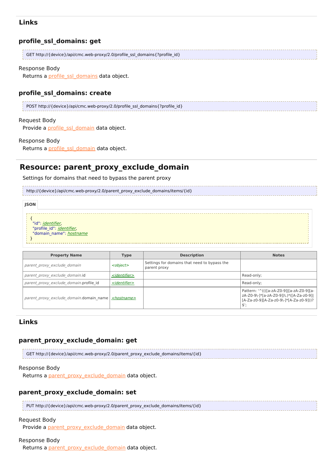#### **profile\_ssl\_domains: get**

| GET http://{device}/api/cmc.web-proxy/2.0/profile_ssl_domains{?profile_id} |
|----------------------------------------------------------------------------|
|                                                                            |

#### Response Body

Returns a [profile\\_ssl\\_domains](http://support.riverbed.com/apis/cmc.web-proxy/2.0#/resources/profile_ssl_domains) data object.

### **profile\_ssl\_domains: create**

POST http://{device}/api/cmc.web-proxy/2.0/profile\_ssl\_domains{?profile\_id}

#### Request Body

Provide a *[profile\\_ssl\\_domain](http://support.riverbed.com/apis/cmc.web-proxy/2.0#/resources/profile_ssl_domain)* data object.

#### Response Body

Returns a [profile\\_ssl\\_domain](http://support.riverbed.com/apis/cmc.web-proxy/2.0#/resources/profile_ssl_domain) data object.

# **Resource: parent\_proxy\_exclude\_domain**

Settings for domains that need to bypass the parent proxy

|             | http://{device}/api/cmc.web-proxy/2.0/parent proxy exclude domains/items/{id}            |  |
|-------------|------------------------------------------------------------------------------------------|--|
| <b>JSON</b> |                                                                                          |  |
|             | "id": <i>identifier</i> ,<br>"profile_id": <i>identifier,</i><br>"domain name": hostname |  |

| <b>Property Name</b>                    | <b>Type</b>               | <b>Description</b>                                           | <b>Notes</b>                                                                                                                                     |
|-----------------------------------------|---------------------------|--------------------------------------------------------------|--------------------------------------------------------------------------------------------------------------------------------------------------|
| parent proxy exclude domain             | <object></object>         | Settings for domains that need to bypass the<br>parent proxy |                                                                                                                                                  |
| parent proxy exclude domain.id          | < <i>identifier&gt;</i>   |                                                              | Read-only;                                                                                                                                       |
| parent proxy exclude domain.profile id  | <identifier></identifier> |                                                              | Read-only;                                                                                                                                       |
| parent proxy exclude domain.domain name | <hostname></hostname>     |                                                              | Pattern: '^((([a-zA-Z0-9]][a-zA-Z0-9][a-<br>zA-Z0-9\-]*[a-zA-Z0-9])\.)*([A-Za-z0-9] <br>[A-Za-z0-9][A-Za-z0-9\-]*[A-Za-z0-9]))?<br>$$^{\prime};$ |

## **Links**

### **parent\_proxy\_exclude\_domain: get**

GET http://{device}/api/cmc.web-proxy/2.0/parent\_proxy\_exclude\_domains/items/{id}

#### Response Body

Returns a [parent\\_proxy\\_exclude\\_domain](http://support.riverbed.com/apis/cmc.web-proxy/2.0#/resources/parent_proxy_exclude_domain) data object.

### **parent\_proxy\_exclude\_domain: set**

| pUT http://{device}/api/cmc.web-proxy/2.0/parent_proxy_exclude_domains/items/{id} |
|-----------------------------------------------------------------------------------|
|                                                                                   |

#### Request Body

Provide a [parent\\_proxy\\_exclude\\_domain](http://support.riverbed.com/apis/cmc.web-proxy/2.0#/resources/parent_proxy_exclude_domain) data object.

#### Response Body

Returns a [parent\\_proxy\\_exclude\\_domain](http://support.riverbed.com/apis/cmc.web-proxy/2.0#/resources/parent_proxy_exclude_domain) data object.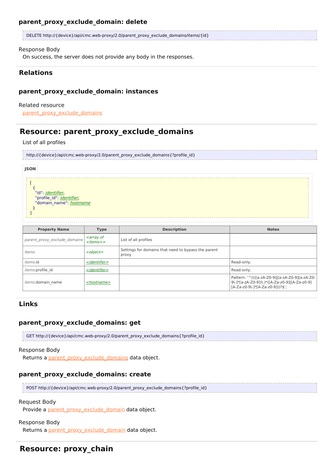### **parent\_proxy\_exclude\_domain: delete**

| DELETE http://{device}/api/cmc.web-proxy/2.0/parent_proxy_exclude_domains/items/{id} |  |
|--------------------------------------------------------------------------------------|--|
|                                                                                      |  |

### Response Body

On success, the server does not provide any body in the responses.

# **Relations**

# **parent\_proxy\_exclude\_domain: instances**

### Related resource

[parent\\_proxy\\_exclude\\_domains](http://support.riverbed.com/apis/cmc.web-proxy/2.0#/resources/parent_proxy_exclude_domains)

# **Resource: parent\_proxy\_exclude\_domains**

### List of all profiles

|             | http://{device}/api/cmc.web-proxy/2.0/parent_proxy_exclude_domains{?profile_id}           |  |
|-------------|-------------------------------------------------------------------------------------------|--|
| <b>JSON</b> |                                                                                           |  |
|             | "id": <i>identifier</i> ,<br>"profile id": <i>identifier</i> ,<br>"domain name": hostname |  |

| <b>Property Name</b>         | <b>Type</b>                                                | <b>Description</b>                                           | <b>Notes</b>                                                                                                                          |
|------------------------------|------------------------------------------------------------|--------------------------------------------------------------|---------------------------------------------------------------------------------------------------------------------------------------|
| parent proxy exclude domains | <i><b><array b="" of<=""></array></b></i><br>$<$ items $>$ | List of all profiles                                         |                                                                                                                                       |
| items                        | <object></object>                                          | Settings for domains that need to bypass the parent<br>proxy |                                                                                                                                       |
| <i>items.id</i>              | <identifier></identifier>                                  |                                                              | Read-only;                                                                                                                            |
| <i>items.profile id</i>      | <identifier></identifier>                                  |                                                              | Read-only;                                                                                                                            |
| <i>items.domain</i> name     | <hostname></hostname>                                      |                                                              | Pattern: '^((([a-zA-Z0-9]][a-zA-Z0-9][a-zA-Z0-<br>  9\-]*[a-zA-Z0-9])\.)*([A-Za-z0-9] [A-Za-z0-9]<br>[A-Za-z0-9\-]*[A-Za-z0-9]))?\$'; |

# **Links**

# **parent\_proxy\_exclude\_domains: get**

GET http://{device}/api/cmc.web-proxy/2.0/parent\_proxy\_exclude\_domains{?profile\_id}

### Response Body

Returns a parent proxy\_exclude\_domains data object.

# **parent\_proxy\_exclude\_domains: create**

POST http://{device}/api/cmc.web-proxy/2.0/parent\_proxy\_exclude\_domains{?profile\_id}

### Request Body

Provide a [parent\\_proxy\\_exclude\\_domain](http://support.riverbed.com/apis/cmc.web-proxy/2.0#/resources/parent_proxy_exclude_domain) data object.

### Response Body

Returns a [parent\\_proxy\\_exclude\\_domain](http://support.riverbed.com/apis/cmc.web-proxy/2.0#/resources/parent_proxy_exclude_domain) data object.

# **Resource: proxy\_chain**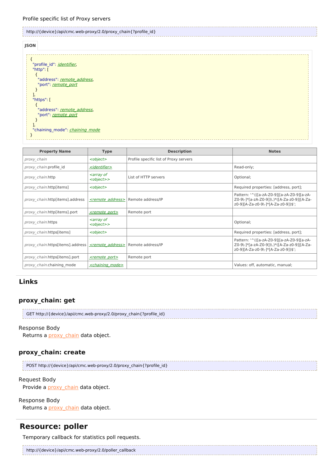Profile specific list of Proxy servers

## http://{device}/api/cmc.web-proxy/2.0/proxy\_chain{?profile\_id}





| <b>Property Name</b>             | <b>Type</b>                                                        | <b>Description</b>                     | <b>Notes</b>                                                                                                                     |
|----------------------------------|--------------------------------------------------------------------|----------------------------------------|----------------------------------------------------------------------------------------------------------------------------------|
| proxy chain                      | <object></object>                                                  | Profile specific list of Proxy servers |                                                                                                                                  |
| proxy chain.profile id           | < <i>identifier&gt;</i>                                            |                                        | Read-only;                                                                                                                       |
| proxy chain.http                 | <i><b><array b="" of<=""></array></b></i><br><object>&gt;</object> | List of HTTP servers                   | Optional;                                                                                                                        |
| <i>proxy chain.http[items]</i>   | <object></object>                                                  |                                        | Required properties: [address, port];                                                                                            |
| proxy chain.http[items].address  | <remote address=""></remote>                                       | Remote address/IP                      | Pattern: '^(([a-zA-Z0-9]][a-zA-Z0-9][a-zA-<br>Z0-9\-]*[a-zA-Z0-9])\.)*([A-Za-z0-9] [A-Za-<br>z0-9][A-Za-z0-9\-1*[A-Za-z0-9])\$'; |
| proxy chain.http[items].port     | <remote port=""></remote>                                          | Remote port                            |                                                                                                                                  |
| proxy chain.https                | <i><b><array b="" of<=""></array></b></i><br><object>&gt;</object> |                                        | Optional;                                                                                                                        |
| proxy chain.https[items]         | <object></object>                                                  |                                        | Required properties: [address, port];                                                                                            |
| proxy chain.https[items].address | <remote address=""></remote>                                       | Remote address/IP                      | Pattern: '^(([a-zA-Z0-9]][a-zA-Z0-9][a-zA-<br>Z0-9\-]*[a-zA-Z0-9])\.)*([A-Za-z0-9] [A-Za-<br>z0-9][A-Za-z0-9\-1*[A-Za-z0-9])\$'; |
| proxy chain.https[items].port    | <remote port=""></remote>                                          | Remote port                            |                                                                                                                                  |
| proxy chain.chaining mode        | <chaining mode=""></chaining>                                      |                                        | Values: off, automatic, manual;                                                                                                  |

# **Links**

#### **proxy\_chain: get**

| GET http://{device}/api/cmc.web-proxy/2.0/proxy_chain{?profile_id} |
|--------------------------------------------------------------------|
|                                                                    |

### Response Body

Returns a [proxy\\_chain](http://support.riverbed.com/apis/cmc.web-proxy/2.0#/resources/proxy_chain) data object.

#### **proxy\_chain: create**

POST http://{device}/api/cmc.web-proxy/2.0/proxy\_chain{?profile\_id}

#### Request Body

Provide a **[proxy\\_chain](http://support.riverbed.com/apis/cmc.web-proxy/2.0#/resources/proxy_chain)** data object.

#### Response Body

Returns a *[proxy\\_chain](http://support.riverbed.com/apis/cmc.web-proxy/2.0#/resources/proxy_chain)* data object.

# **Resource: poller**

Temporary callback for statistics poll requests.

http://{device}/api/cmc.web-proxy/2.0/poller\_callback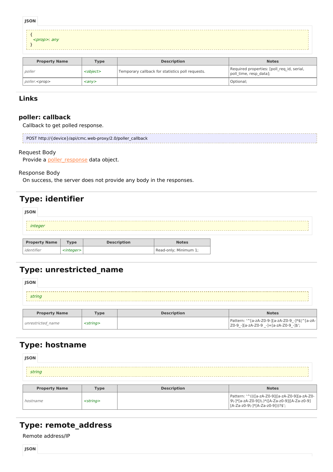| <b>JSON</b>          |             |                    |              |
|----------------------|-------------|--------------------|--------------|
| <prop> any</prop>    |             |                    |              |
| <b>Property Name</b> | <b>Type</b> | <b>Description</b> | <b>Notes</b> |

| <b>Property Name</b>    | <b>Tvpe</b>             | <b>Description</b>                               | <b>Notes</b>                                                         |
|-------------------------|-------------------------|--------------------------------------------------|----------------------------------------------------------------------|
| <i>poller</i>           | <object></object>       | Temporary callback for statistics poll requests. | Required properties: [poll req id, serial,<br>poll time, resp data]; |
| $poller$ . $<$ prop $>$ | $\langle$ anv $\rangle$ |                                                  | Optional;                                                            |

# **poller: callback**

Callback to get polled response.

| POST http://{device}/api/cmc.web-proxy/2.0/poller_callback |
|------------------------------------------------------------|
|                                                            |

#### Request Body

Provide a **[poller\\_response](http://support.riverbed.com/apis/cmc.web-proxy/2.0#/types/poller_response)** data object.

#### Response Body

On success, the server does not provide any body in the responses.

# **Type: identifier**

| <b>JSON</b>          |                 |                    |                       |  |
|----------------------|-----------------|--------------------|-----------------------|--|
|                      |                 |                    |                       |  |
| integer              |                 |                    |                       |  |
|                      |                 |                    |                       |  |
| <b>Property Name</b> | <b>Type</b>     | <b>Description</b> | <b>Notes</b>          |  |
| identifier           | $<$ integer $>$ |                    | Read-only; Minimum 1; |  |

# **Type: unrestricted\_name**

| <b>JSON</b>          |             |                    |              |
|----------------------|-------------|--------------------|--------------|
| string               |             |                    |              |
|                      |             |                    |              |
| <b>Property Name</b> | <b>Type</b> | <b>Description</b> | <b>Notes</b> |

| <b>Property Name</b> | $T$ ype  | <b>Description</b> | <b>Notes</b>                                                                                   |
|----------------------|----------|--------------------|------------------------------------------------------------------------------------------------|
| unrestricted name    | :strina> |                    | Pattern: '^[a-zA-Z0-9-][a-zA-Z0-9 -]*\$ ^[a-zA- <br>$ Z0-9 $ -][a-zA-Z0-9 -]+[a-zA-Z0-9 -]\$'; |

# **Type: hostname**

| <b>JSON</b>          |                |                    |                                                                                                                                     |
|----------------------|----------------|--------------------|-------------------------------------------------------------------------------------------------------------------------------------|
| string               |                |                    |                                                                                                                                     |
| <b>Property Name</b> | <b>Type</b>    | <b>Description</b> | <b>Notes</b>                                                                                                                        |
| hostname             | $<$ string $>$ |                    | Pattern: '^((([a-zA-Z0-9] [a-zA-Z0-9][a-zA-Z0-<br>9\-]*[a-zA-Z0-9])\.)*([A-Za-z0-9] [A-Za-z0-9]<br>[A-Za-z0-9\-]*[A-Za-z0-9]))?\$'; |

# **Type: remote\_address**

Remote address/IP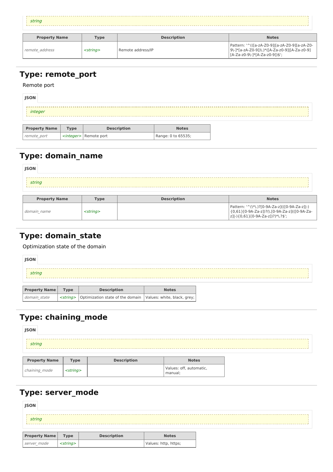string 

| <b>Property Name</b> | Type           | <b>Description</b> | <b>Notes</b>                                                                                                                         |
|----------------------|----------------|--------------------|--------------------------------------------------------------------------------------------------------------------------------------|
| remote address       | $<$ string $>$ | Remote address/IP  | Pattern: '^(([a-zA-Z0-9]][a-zA-Z0-9][a-zA-Z0-<br>  9\-]*[a-zA-Z0-9])\.)*([A-Za-z0-9] [A-Za-z0-9]<br>  [A-Za-z0-9\-1*[A-Za-z0-9])\$'; |

# **Type: remote\_port**

Remote port

| <b>JSON</b>          |             |                                |                    |  |
|----------------------|-------------|--------------------------------|--------------------|--|
| integer              |             |                                |                    |  |
| <b>Property Name</b> | <b>Type</b> | <b>Description</b>             | <b>Notes</b>       |  |
| remote port          |             | < <i>integer</i> > Remote port | Range: 0 to 65535; |  |

# **Type: domain\_name**

| <b>JSON</b>          |             |                    |                                               |  |  |  |  |
|----------------------|-------------|--------------------|-----------------------------------------------|--|--|--|--|
| string               |             |                    |                                               |  |  |  |  |
| <b>Property Name</b> | <b>Type</b> | <b>Description</b> | <b>Notes</b>                                  |  |  |  |  |
|                      |             |                    | Pattern: '^(\*\.)?[0-9A-Za-z](([0-9A-Za-z]]-) |  |  |  |  |

| $ - - - - -$ | $\cdot$ , $\sim$ | .                                                                                                                                     |
|--------------|------------------|---------------------------------------------------------------------------------------------------------------------------------------|
| domain name  | -strina>         | Pattern: '^(\*\.)?[0-9A-Za-z](([0-9A-Za-z]]-)<br>l {0,61}[0-9A-Za-z])?(\.[0-9A-Za-z](([0-9A-Za-<br> z] -){0,61}[0-9A-Za-z])?)*\.?\$'; |
|              |                  |                                                                                                                                       |

# **Type: domain\_state**

Optimization state of the domain

| <b>JSON</b>          |                          |                                                                |              |
|----------------------|--------------------------|----------------------------------------------------------------|--------------|
| string               |                          |                                                                |              |
| <b>Property Name</b> | <b>Type</b>              | <b>Description</b>                                             | <b>Notes</b> |
| domain state         | <i><string></string></i> | Optimization state of the domain   Values: white, black, grey; |              |

# **Type: chaining\_mode**

| <b>JSON</b>          |                |                    |                                    |
|----------------------|----------------|--------------------|------------------------------------|
| string               |                |                    |                                    |
| <b>Property Name</b> | <b>Type</b>    | <b>Description</b> | <b>Notes</b>                       |
| chaining_mode        | $<$ string $>$ |                    | Values: off, automatic,<br>manual; |

# **Type: server\_mode**

| <b>JSON</b> |  |
|-------------|--|
| string      |  |

| <b>Property Name</b> | Tvpe                     | <b>Description</b> | <b>Notes</b>         |
|----------------------|--------------------------|--------------------|----------------------|
| server mode          | <i><string></string></i> |                    | Values: http, https; |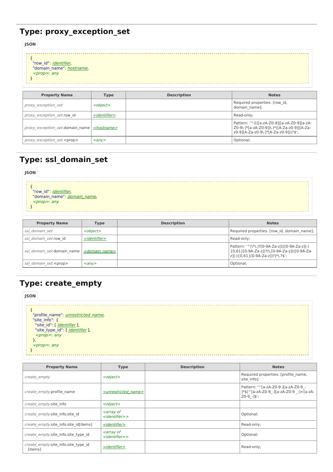# **Type: proxy\_exception\_set**

**JSON**

| ,,,,,<br>"row id": <i>identifier</i> ,<br>"domain_name": hostname,<br>$<$ prop>: any |                              |                    |                               |
|--------------------------------------------------------------------------------------|------------------------------|--------------------|-------------------------------|
| <b>Property Name</b>                                                                 | <b>Type</b>                  | <b>Description</b> | <b>Notes</b>                  |
| proxy exception set                                                                  | $\epsilon$ obiect $\epsilon$ |                    | Required properties: [row_id, |

| proxy exception set                                            | <object></object>         | neganca propercies. pour la,<br>domain namel:                                                                                         |
|----------------------------------------------------------------|---------------------------|---------------------------------------------------------------------------------------------------------------------------------------|
| <i>proxy exception set.row id</i>                              | <identifier></identifier> | Read-only:                                                                                                                            |
| <i>proxy exception set.domain name   <hostname></hostname></i> |                           | Pattern: '^((([a-zA-Z0-9] [a-zA-Z0-9][a-zA-<br>Z0-9\-1*[a-zA-Z0-9])\.)*([A-Za-z0-9] [A-Za-<br>  z0-9][A-Za-z0-9\-]*[A-Za-z0-9]))?\$'; |
| proxy exception set. <prop></prop>                             | $\langle$ any $\rangle$   | Optional;                                                                                                                             |

# **Type: ssl\_domain\_set**

| <b>JSON</b> |                                                                                                         |  |       |     |  |
|-------------|---------------------------------------------------------------------------------------------------------|--|-------|-----|--|
|             | "row_id": <u><i>identifier,</i><br/>"domain_name": <u><i>domain_name,</i></u></u><br><prop>: any</prop> |  |       |     |  |
|             | _________                                                                                               |  | _____ | --- |  |

| <b>Property Name</b>          | Type                      | <b>Description</b> | <b>Notes</b>                                                                                                                         |
|-------------------------------|---------------------------|--------------------|--------------------------------------------------------------------------------------------------------------------------------------|
| ssl domain set                | <object></object>         |                    | Required properties: [row id, domain name];                                                                                          |
| ssl domain set.row id         | < <i>identifier&gt;</i>   |                    | Read-only:                                                                                                                           |
| ssl domain set.domain name    | <domain name=""></domain> |                    | Pattern: '^(\*\.)?[0-9A-Za-z](([0-9A-Za-z] -)<br>{0,61}[0-9A-Za-z])?(\.[0-9A-Za-z](([0-9A-Za-<br>  z] -){0,61}[0-9A-Za-z])?)*\.?\$'; |
| ssl domain set. <prop></prop> | $\langle$ any $\rangle$   |                    | Optional;                                                                                                                            |

# **Type: create\_empty**

| <b>JSON</b> |                                                                 |  |
|-------------|-----------------------------------------------------------------|--|
|             |                                                                 |  |
|             | "profile name": <i>unrestricted name</i> ,<br>"site info": $\{$ |  |
|             | "site_type_id": [ <i>identifier</i> ],                          |  |
|             | <prop>: any<br/><math>&lt;</math>prop&gt;: any</prop>           |  |
|             |                                                                 |  |

| <b>Property Name</b>                           | <b>Type</b>                                                                | <b>Description</b> | <b>Notes</b>                                                                                    |
|------------------------------------------------|----------------------------------------------------------------------------|--------------------|-------------------------------------------------------------------------------------------------|
| create empty                                   | <object></object>                                                          |                    | Required properties: [profile name,<br>site info];                                              |
| create empty.profile name                      | <unrestricted name=""></unrestricted>                                      |                    | Pattern: '^[a-zA-Z0-9-][a-zA-Z0-9 -<br>]*\$ ^[a-zA-Z0-9 -][a-zA-Z0-9 -]+[a-zA-<br>$Z0-9$ -]\$'; |
| create empty.site info                         | <object></object>                                                          |                    |                                                                                                 |
| create empty.site info.site id                 | <i><b><array b="" of<=""></array></b></i><br>$<$ <i>identifier</i> $>$     |                    | Optional;                                                                                       |
| create empty.site info.site id[items]          | <identifier></identifier>                                                  |                    | Read-only;                                                                                      |
| create empty.site info.site type id            | <i><b><array b="" of<=""></array></b></i><br><identifier>&gt;</identifier> |                    | Optional;                                                                                       |
| create empty.site info.site type id<br>[items] | <identifier></identifier>                                                  |                    | Read-only;                                                                                      |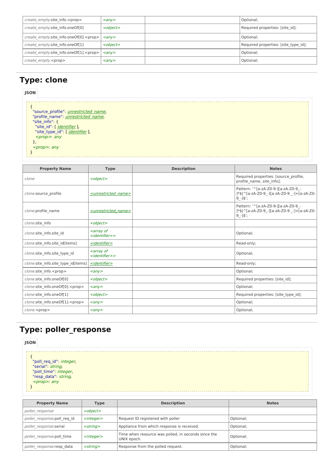| create empty.site info. <prop></prop>          | $\langle \text{any} \rangle$ | Optional;                            |
|------------------------------------------------|------------------------------|--------------------------------------|
| create empty.site info.oneOf[0]                | <object></object>            | Required properties: [site_id];      |
| create empty.site info.oneOf[0]. <prop></prop> | $\langle$ any $\rangle$      | Optional;                            |
| create empty.site info.oneOf[1]                | <object></object>            | Required properties: [site type id]; |
| create empty.site info.oneOf[1]. <prop></prop> | $\langle$ any $\rangle$      | Optional;                            |
| create empty. <prop></prop>                    | $\langle \text{any} \rangle$ | Optional;                            |

# **Type: clone**

| <b>JSON</b>                                                                                                                                                                                                              |             |                    |              |
|--------------------------------------------------------------------------------------------------------------------------------------------------------------------------------------------------------------------------|-------------|--------------------|--------------|
| "source profile": <i>unrestricted name</i> ,<br>"profile name": <i>unrestricted name</i> ,<br>"site info": {<br>"site id": [ <i>identifier</i> ],<br>"site_type_id": [ jdentifier ],<br>$<$ prop>: any<br>$<$ prop>: any |             |                    |              |
| <b>Property Name</b>                                                                                                                                                                                                     | <b>Type</b> | <b>Description</b> | <b>Notes</b> |

| <b>Property Name</b>                    | I ype                                                                      | <b>Description</b> | <b>Notes</b>                                                                                      |
|-----------------------------------------|----------------------------------------------------------------------------|--------------------|---------------------------------------------------------------------------------------------------|
| clone                                   | <object></object>                                                          |                    | Required properties: [source profile,<br>profile name, site info];                                |
| clone.source profile                    | <unrestricted name=""></unrestricted>                                      |                    | Pattern: '^[a-zA-Z0-9-][a-zA-Z0-9 -<br>]*\$ ^[a-zA-Z0-9 -][a-zA-Z0-9 -]+[a-zA-Z0-<br>$9 - 3$      |
| clone.profile name                      | <unrestricted name=""></unrestricted>                                      |                    | Pattern: '^[a-zA-Z0-9-][a-zA-Z0-9 -<br>]*\$ ^[a-zA-Z0-9 -][a-zA-Z0-9 -]+[a-zA-Z0-<br>$9 - 1$ \$'; |
| clone.site info                         | <object></object>                                                          |                    |                                                                                                   |
| clone.site info.site id                 | <array of<br=""><identifier>&gt;</identifier></array>                      |                    | Optional;                                                                                         |
| clone.site info.site id[items]          | <identifier></identifier>                                                  |                    | Read-only;                                                                                        |
| clone.site info.site type id            | <i><b><array b="" of<=""></array></b></i><br><identifier>&gt;</identifier> |                    | Optional;                                                                                         |
| clone.site info.site type id[items]     | <identifier></identifier>                                                  |                    | Read-only;                                                                                        |
| clone.site info. <prop></prop>          | $\langle \rangle$                                                          |                    | Optional;                                                                                         |
| clone.site info.oneOf[0]                | <object></object>                                                          |                    | Required properties: [site id];                                                                   |
| clone.site_info.oneOf[0]. <prop></prop> | $\langle \rangle$                                                          |                    | Optional;                                                                                         |
| clone.site info.oneOf[1]                | <object></object>                                                          |                    | Required properties: [site type id];                                                              |
| clone.site_info.oneOf[1]. <prop></prop> | $\langle \rangle$                                                          |                    | Optional;                                                                                         |
| clone. <prop></prop>                    | $\langle \rangle$                                                          |                    | Optional;                                                                                         |

# **Type: poller\_response**

#### **JSON**{ "poll req id": *integer*, "serial": string, "poll time": integer, "resp\_data": string, <prop>: any }

| <b>Property Name</b>        | Type              | <b>Description</b>                                                 | <b>Notes</b> |
|-----------------------------|-------------------|--------------------------------------------------------------------|--------------|
| poller response             | <object></object> |                                                                    |              |
| poller response.poll req id | $<$ integer $>$   | Request ID registered with poller                                  | Optional;    |
| poller response.serial      | $<$ strina $>$    | Appliance from which response is received.                         | Optional:    |
| poller response.poll time   | $<$ integer $>$   | Time when resource was polled, in seconds since the<br>UNIX epoch. | Optional;    |
| poller response.resp data   | $<$ string $>$    | Response from the polled request.                                  | Optional;    |